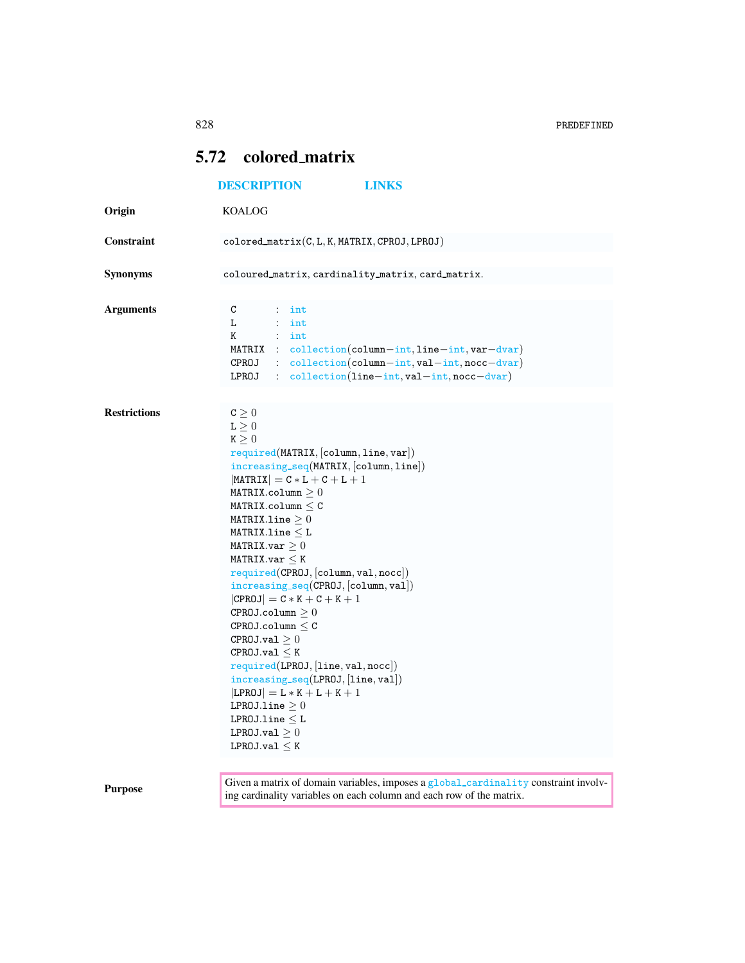## <span id="page-0-0"></span>5.72 colored matrix

|                     | <b>DESCRIPTION</b><br><b>LINKS</b>                                                                                                                                                                                                                                                                                                                                                                                                                                                                                                                                                                                                                                                                                                                                                    |
|---------------------|---------------------------------------------------------------------------------------------------------------------------------------------------------------------------------------------------------------------------------------------------------------------------------------------------------------------------------------------------------------------------------------------------------------------------------------------------------------------------------------------------------------------------------------------------------------------------------------------------------------------------------------------------------------------------------------------------------------------------------------------------------------------------------------|
| Origin              | <b>KOALOG</b>                                                                                                                                                                                                                                                                                                                                                                                                                                                                                                                                                                                                                                                                                                                                                                         |
| Constraint          | $colored_matrix(C, L, K, MARRIX, CPROJ, LPROJ)$                                                                                                                                                                                                                                                                                                                                                                                                                                                                                                                                                                                                                                                                                                                                       |
| <b>Synonyms</b>     | coloured_matrix, cardinality_matrix, card_matrix.                                                                                                                                                                                                                                                                                                                                                                                                                                                                                                                                                                                                                                                                                                                                     |
| <b>Arguments</b>    | C<br>$:$ int<br>L<br>$:$ int<br>$:$ int<br>Κ<br>MATRIX : $\text{collection}(\text{column} - \text{int}, \text{line} - \text{int}, \text{var}-\text{dvar})$<br>$CPROJ$ : collection(column-int, val-int, nocc-dvar)<br>: collection(line-int, val-int, nocc-dvar)<br>LPROJ                                                                                                                                                                                                                                                                                                                                                                                                                                                                                                             |
| <b>Restrictions</b> | $C\geq 0$<br>$\mathtt{L}\geq 0$<br>$K \geq 0$<br>required(MATRIX, [column, line, var])<br>$increasing\_seq(MATRIX, [column, line])$<br>$ \mathtt{MATRIX}  = \mathtt{C} * \mathtt{L} + \mathtt{C} + \mathtt{L} + 1$<br>MATRIX.column $\geq 0$<br>MATRIX.column $\leq$ C<br>MATRIXuine > 0<br>MATRIX.line $\leq$ L<br>MATRIX.var $\geq 0$<br>MATRIX.var $\leq$ K<br>required(CPROJ, [column, val, nocc])<br>$increasing\_seq(CPROJ, [column, val])$<br>$ CPROJ  = C*K + C + K + 1$<br>CPROJ.column $\geq 0$<br>$CPROJ.column \leq C$<br>CPROJ.val > 0<br>$CPROJ.val \leq K$<br>required(LPROJ, [line, val, nocc])<br>$increasing\_seq(LPROJ, [line, val])$<br>$ LPROJ  = L * K + L + K + 1$<br>LPROJ.1ine $\geq 0$<br>$LPR0Ju$ ine $\leq L$<br>LPROJ.val $\geq 0$<br>LPROJ.val $\leq K$ |
| <b>Purpose</b>      | Given a matrix of domain variables, imposes a global_cardinality constraint involv-<br>ing cardinality variables on each column and each row of the matrix.                                                                                                                                                                                                                                                                                                                                                                                                                                                                                                                                                                                                                           |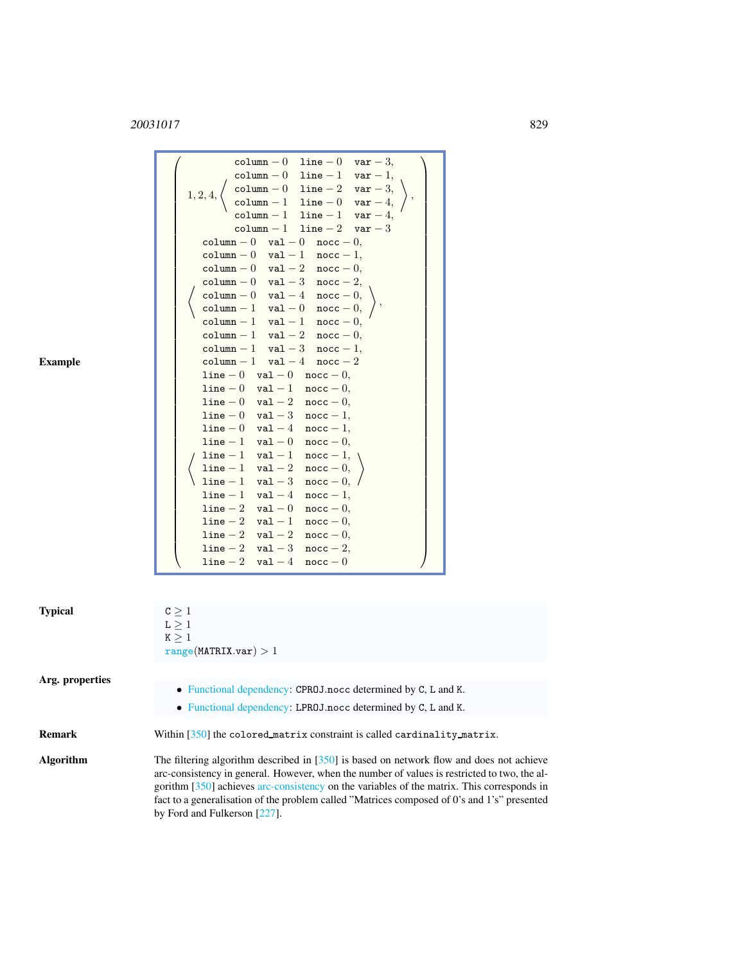## <sup>20031017</sup> 829

| <b>Example</b>  | column - 0 line - 0 var - 3,<br>column $-0$ line $-1$ var $-1$ ,<br>$\begin{array}{llll} \texttt{column} - 0 & \texttt{line} - 2 & \texttt{var} - 3, \\ \texttt{column} - 1 & \texttt{line} - 0 & \texttt{var} - 4, \\ \texttt{column} - 1 & \texttt{line} - 1 & \texttt{var} - 4, \end{array}$<br>$1,2,4,$<br>$column - 1$ $line - 2$ $var - 3$<br>column $-0$ val $-0$ nocc $-0$ ,<br>${\tt column} - 0 \quad {\tt val} - 1 \quad {\tt nocc} - 1,$<br>$\verb column  - 0 \quad \verb val  - 2 \quad \verb nocc  - 0 ,$<br>column $-0$ val $-3$ nocc $-2$ ,<br>$\begin{array}{llll} \texttt{column} - 0 & \texttt{val} - 4 & \texttt{nocc} - 0, \\ \texttt{column} - 1 & \texttt{val} - 0 & \texttt{nocc} - 0, \\ \texttt{column} - 1 & \texttt{val} - 1 & \texttt{nocc} - 0, \end{array}$<br>column $-1$ val $-2$ nocc $-0$ ,<br>column $-1$ val $-3$ nocc $-1$ ,<br>$\verb column -1   val -4  nocc -2  \\$<br>$line -0$ val $-0$ nocc $-0$ ,<br>$line -0$ val $-1$ nocc $-0$ ,<br>$line -0$ val $-2$ nocc $-0$ ,<br>$line -0$ val $-3$ nocc $-1$ ,<br>$line -0$ val $-4$ nocc $-1$ ,<br>$line -1$ val $-0$ nocc $-0$ ,<br>$line -1$ val $-1$ nocc $-1$ ,<br>$line -1$ val $-2$<br>$\mathtt{noc} - 0,$<br>$line -1$ val $-3$ nocc $-0$ ,<br>$line -1$ val $-4$ nocc $-1$ ,<br>$line -2$ val $-0$ nocc $-0$ ,<br>$line -2$ val $-1$ nocc $-0$ ,<br>$line -2$ val $-2$ nocc $-0$ ,<br>$line -2$ val $-3$ nocc $-2$ ,<br>$line -2$ val $-4$<br>$\mathtt{noc} - 0$ |
|-----------------|-------------------------------------------------------------------------------------------------------------------------------------------------------------------------------------------------------------------------------------------------------------------------------------------------------------------------------------------------------------------------------------------------------------------------------------------------------------------------------------------------------------------------------------------------------------------------------------------------------------------------------------------------------------------------------------------------------------------------------------------------------------------------------------------------------------------------------------------------------------------------------------------------------------------------------------------------------------------------------------------------------------------------------------------------------------------------------------------------------------------------------------------------------------------------------------------------------------------------------------------------------------------------------------------------------------------------------------------------------------------------------------------------------------------------------------------------------------------|
| <b>Typical</b>  | $C \geq 1$<br>$\mathtt{L}\geq 1$<br>K > 1<br>range(MATRIX.var) > 1                                                                                                                                                                                                                                                                                                                                                                                                                                                                                                                                                                                                                                                                                                                                                                                                                                                                                                                                                                                                                                                                                                                                                                                                                                                                                                                                                                                                |
| Arg. properties | • Functional dependency: CPR0J.nocc determined by C, L and K.                                                                                                                                                                                                                                                                                                                                                                                                                                                                                                                                                                                                                                                                                                                                                                                                                                                                                                                                                                                                                                                                                                                                                                                                                                                                                                                                                                                                     |
|                 | • Functional dependency: LPR0J.nocc determined by C, L and K.                                                                                                                                                                                                                                                                                                                                                                                                                                                                                                                                                                                                                                                                                                                                                                                                                                                                                                                                                                                                                                                                                                                                                                                                                                                                                                                                                                                                     |

Remark Within [350] the colored matrix constraint is called cardinality matrix.

Algorithm The filtering algorithm described in [350] is based on network flow and does not achieve arc-consistency in general. However, when the number of values is restricted to two, the algorithm [350] achieves arc-consistency on the variables of the matrix. This corresponds in fact to a generalisation of the problem called "Matrices composed of 0's and 1's" presented by Ford and Fulkerson [227].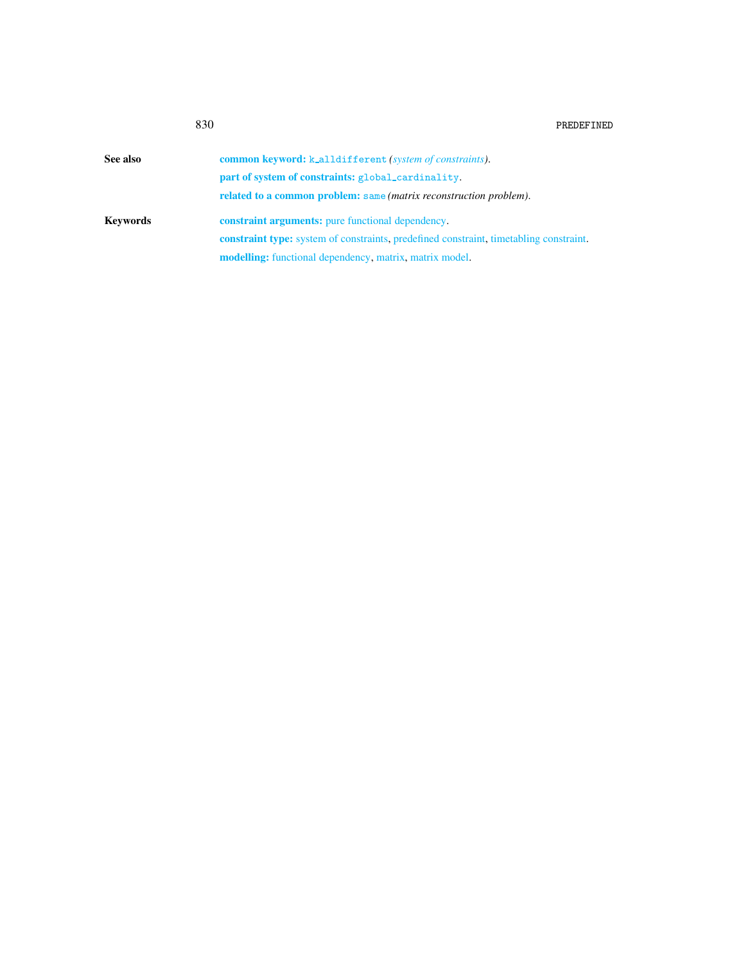<span id="page-2-0"></span>

| See also | <b>common keyword:</b> k_alldifferent (system of constraints).                                |
|----------|-----------------------------------------------------------------------------------------------|
|          | part of system of constraints: global_cardinality.                                            |
|          | <b>related to a common problem:</b> same <i>(matrix reconstruction problem)</i> .             |
| Keywords | <b>constraint arguments:</b> pure functional dependency.                                      |
|          | <b>constraint type:</b> system of constraints, predefined constraint, timetabling constraint. |
|          | <b>modelling:</b> functional dependency, matrix, matrix model.                                |
|          |                                                                                               |